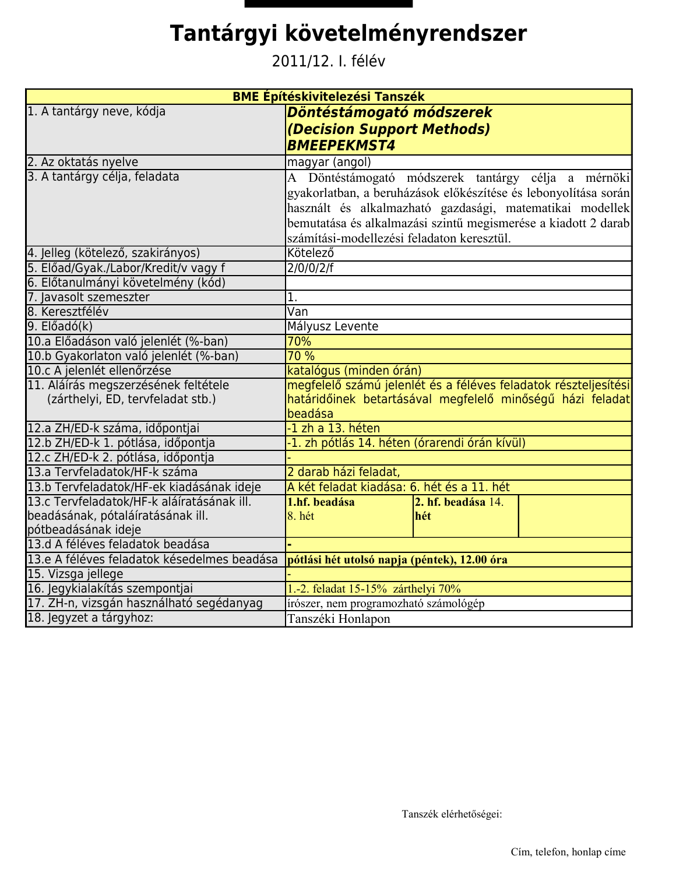## Tantárgyi követelményrendszer

2011/12. I. félév

| <b>BME Építéskivitelezési Tanszék</b>                   |                                                                 |                    |  |  |
|---------------------------------------------------------|-----------------------------------------------------------------|--------------------|--|--|
| 1. A tantárgy neve, kódja                               | Döntéstámogató módszerek                                        |                    |  |  |
|                                                         | (Decision Support Methods)                                      |                    |  |  |
|                                                         | <b>BMEEPEKMST4</b>                                              |                    |  |  |
| 2. Az oktatás nyelve                                    | magyar (angol)                                                  |                    |  |  |
| 3. A tantárgy célja, feladata                           | A Döntéstámogató módszerek tantárgy célja a mérnöki             |                    |  |  |
|                                                         | gyakorlatban, a beruházások előkészítése és lebonyolítása során |                    |  |  |
|                                                         | használt és alkalmazható gazdasági, matematikai modellek        |                    |  |  |
|                                                         | bemutatása és alkalmazási szintű megismerése a kiadott 2 darab  |                    |  |  |
|                                                         | számítási-modellezési feladaton keresztül.                      |                    |  |  |
| 4. Jelleg (kötelező, szakirányos)                       | Kötelező                                                        |                    |  |  |
| 5. Előad/Gyak./Labor/Kredit/v vagy f                    | 2/0/0/2/f                                                       |                    |  |  |
| 6. Előtanulmányi követelmény (kód)                      |                                                                 |                    |  |  |
| 7. Javasolt szemeszter                                  | 1.                                                              |                    |  |  |
| 8. Keresztfélév                                         | Van                                                             |                    |  |  |
| $9.$ Előadó(k)                                          | Mályusz Levente                                                 |                    |  |  |
| 10.a Előadáson való jelenlét (%-ban)                    | 70%                                                             |                    |  |  |
| 10.b Gyakorlaton való jelenlét (%-ban)                  | 70 %                                                            |                    |  |  |
| 10.c A jelenlét ellenőrzése                             | katalógus (minden órán)                                         |                    |  |  |
| 11. Aláírás megszerzésének feltétele                    | megfelelő számú jelenlét és a féléves feladatok részteljesítési |                    |  |  |
| (zárthelyi, ED, tervfeladat stb.)                       | határidőinek betartásával megfelelő minőségű házi feladat       |                    |  |  |
|                                                         | beadása                                                         |                    |  |  |
| 12.a ZH/ED-k száma, időpontjai                          | -1 zh a 13. héten                                               |                    |  |  |
| 12.b ZH/ED-k 1. pótlása, időpontja                      | -1. zh pótlás 14. héten (órarendi órán kívül)                   |                    |  |  |
| 12.c ZH/ED-k 2. pótlása, időpontja                      |                                                                 |                    |  |  |
| 13.a Tervfeladatok/HF-k száma                           | 2 darab házi feladat,                                           |                    |  |  |
| 13.b Tervfeladatok/HF-ek kiadásának ideje               | A két feladat kiadása: 6. hét és a 11. hét                      |                    |  |  |
| 13.c Tervfeladatok/HF-k aláíratásának ill.              | 1.hf. beadása                                                   | 2. hf. beadása 14. |  |  |
| beadásának, pótaláíratásának ill.                       | 8. hét                                                          | hét                |  |  |
| pótbeadásának ideje<br>13.d A féléves feladatok beadása |                                                                 |                    |  |  |
| 13.e A féléves feladatok késedelmes beadása             |                                                                 |                    |  |  |
| 15. Vizsga jellege                                      | pótlási hét utolsó napja (péntek), 12.00 óra                    |                    |  |  |
| 16. Jegykialakítás szempontjai                          | 1.-2. feladat 15-15% zárthelyi 70%                              |                    |  |  |
| 17. ZH-n, vizsgán használható segédanyag                | írószer, nem programozható számológép                           |                    |  |  |
| 18. Jegyzet a tárgyhoz:                                 |                                                                 |                    |  |  |
|                                                         | Tanszéki Honlapon                                               |                    |  |  |